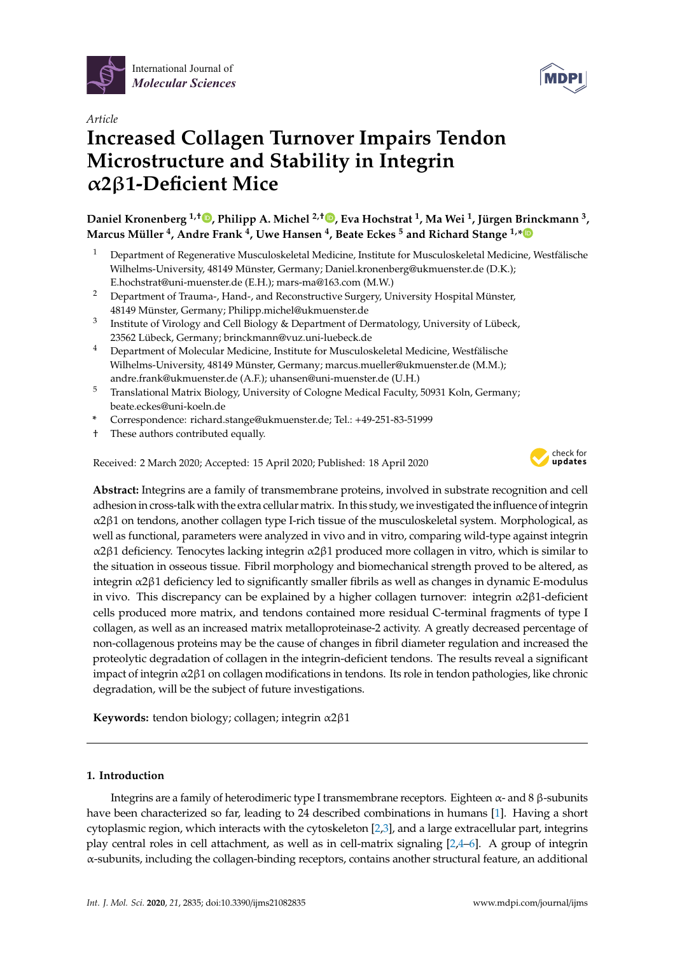



# *Article* **Increased Collagen Turnover Impairs Tendon Microstructure and Stability in Integrin** α**2**β**1-Deficient Mice**

**Daniel Kronenberg 1,**† **, Philipp A. Michel 2,**† **, Eva Hochstrat <sup>1</sup> , Ma Wei <sup>1</sup> , Jürgen Brinckmann <sup>3</sup> , Marcus Müller <sup>4</sup> , Andre Frank <sup>4</sup> , Uwe Hansen <sup>4</sup> , Beate Eckes <sup>5</sup> and Richard Stange 1,\***

- <sup>1</sup> Department of Regenerative Musculoskeletal Medicine, Institute for Musculoskeletal Medicine, Westfälische Wilhelms-University, 48149 Münster, Germany; Daniel.kronenberg@ukmuenster.de (D.K.); E.hochstrat@uni-muenster.de (E.H.); mars-ma@163.com (M.W.)
- <sup>2</sup> Department of Trauma-, Hand-, and Reconstructive Surgery, University Hospital Münster, 48149 Münster, Germany; Philipp.michel@ukmuenster.de
- 3 Institute of Virology and Cell Biology & Department of Dermatology, University of Lübeck, 23562 Lübeck, Germany; brinckmann@vuz.uni-luebeck.de
- <sup>4</sup> Department of Molecular Medicine, Institute for Musculoskeletal Medicine, Westfälische Wilhelms-University, 48149 Münster, Germany; marcus.mueller@ukmuenster.de (M.M.); andre.frank@ukmuenster.de (A.F.); uhansen@uni-muenster.de (U.H.)
- <sup>5</sup> Translational Matrix Biology, University of Cologne Medical Faculty, 50931 Koln, Germany; beate.eckes@uni-koeln.de
- **\*** Correspondence: richard.stange@ukmuenster.de; Tel.: +49-251-83-51999
- † These authors contributed equally.

Received: 2 March 2020; Accepted: 15 April 2020; Published: 18 April 2020



**Abstract:** Integrins are a family of transmembrane proteins, involved in substrate recognition and cell adhesion in cross-talk with the extra cellular matrix. In this study, we investigated the influence of integrin α2β1 on tendons, another collagen type I-rich tissue of the musculoskeletal system. Morphological, as well as functional, parameters were analyzed in vivo and in vitro, comparing wild-type against integrin α2β1 deficiency. Tenocytes lacking integrin α2β1 produced more collagen in vitro, which is similar to the situation in osseous tissue. Fibril morphology and biomechanical strength proved to be altered, as integrin α2β1 deficiency led to significantly smaller fibrils as well as changes in dynamic E-modulus in vivo. This discrepancy can be explained by a higher collagen turnover: integrin  $\alpha$ 2 $\beta$ 1-deficient cells produced more matrix, and tendons contained more residual C-terminal fragments of type I collagen, as well as an increased matrix metalloproteinase-2 activity. A greatly decreased percentage of non-collagenous proteins may be the cause of changes in fibril diameter regulation and increased the proteolytic degradation of collagen in the integrin-deficient tendons. The results reveal a significant impact of integrin α2β1 on collagen modifications in tendons. Its role in tendon pathologies, like chronic degradation, will be the subject of future investigations.

**Keywords:** tendon biology; collagen; integrin α2β1

# **1. Introduction**

Integrins are a family of heterodimeric type I transmembrane receptors. Eighteen α- and 8 β-subunits have been characterized so far, leading to 24 described combinations in humans [1]. Having a short cytoplasmic region, which interacts with the cytoskeleton [2,3], and a large extracellular part, integrins play central roles in cell attachment, as well as in cell-matrix signaling [2,4–6]. A group of integrin α-subunits, including the collagen-binding receptors, contains another structural feature, an additional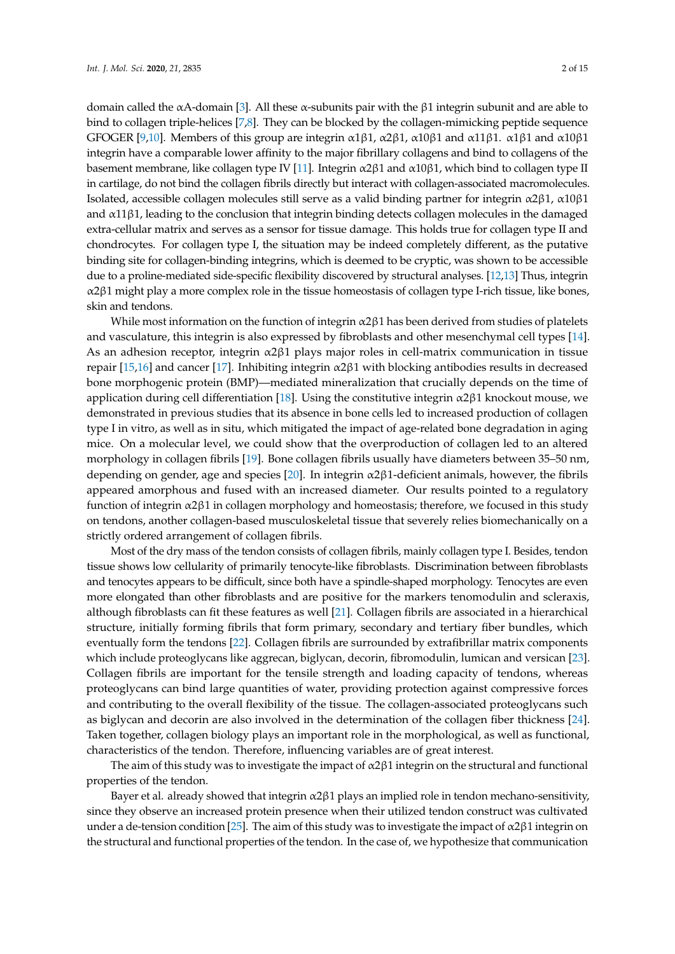domain called the αA-domain [3]. All these α-subunits pair with the β1 integrin subunit and are able to bind to collagen triple-helices [7,8]. They can be blocked by the collagen-mimicking peptide sequence GFOGER [9,10]. Members of this group are integrin  $\alpha$ 1 $\beta$ 1,  $\alpha$ 2 $\beta$ 1,  $\alpha$ 10 $\beta$ 1 and  $\alpha$ 11 $\beta$ 1.  $\alpha$ 1 $\beta$ 1 and  $\alpha$ 10 $\beta$ 1 integrin have a comparable lower affinity to the major fibrillary collagens and bind to collagens of the basement membrane, like collagen type IV [11]. Integrin  $\alpha$ 2 $\beta$ 1 and  $\alpha$ 10 $\beta$ 1, which bind to collagen type II in cartilage, do not bind the collagen fibrils directly but interact with collagen-associated macromolecules. Isolated, accessible collagen molecules still serve as a valid binding partner for integrin α2β1, α10β1 and α11β1, leading to the conclusion that integrin binding detects collagen molecules in the damaged extra-cellular matrix and serves as a sensor for tissue damage. This holds true for collagen type II and chondrocytes. For collagen type I, the situation may be indeed completely different, as the putative binding site for collagen-binding integrins, which is deemed to be cryptic, was shown to be accessible due to a proline-mediated side-specific flexibility discovered by structural analyses. [12,13] Thus, integrin  $α2β1$  might play a more complex role in the tissue homeostasis of collagen type I-rich tissue, like bones, skin and tendons.

While most information on the function of integrin α2β1 has been derived from studies of platelets and vasculature, this integrin is also expressed by fibroblasts and other mesenchymal cell types [14]. As an adhesion receptor, integrin  $\alpha$ 2 $\beta$ 1 plays major roles in cell-matrix communication in tissue repair [15,16] and cancer [17]. Inhibiting integrin  $α2β1$  with blocking antibodies results in decreased bone morphogenic protein (BMP)—mediated mineralization that crucially depends on the time of application during cell differentiation [18]. Using the constitutive integrin  $\alpha$ 2 $\beta$ 1 knockout mouse, we demonstrated in previous studies that its absence in bone cells led to increased production of collagen type I in vitro, as well as in situ, which mitigated the impact of age-related bone degradation in aging mice. On a molecular level, we could show that the overproduction of collagen led to an altered morphology in collagen fibrils [19]. Bone collagen fibrils usually have diameters between 35–50 nm, depending on gender, age and species [20]. In integrin  $\alpha$ 2 $\beta$ 1-deficient animals, however, the fibrils appeared amorphous and fused with an increased diameter. Our results pointed to a regulatory function of integrin  $\alpha$ 2 $\beta$ 1 in collagen morphology and homeostasis; therefore, we focused in this study on tendons, another collagen-based musculoskeletal tissue that severely relies biomechanically on a strictly ordered arrangement of collagen fibrils.

Most of the dry mass of the tendon consists of collagen fibrils, mainly collagen type I. Besides, tendon tissue shows low cellularity of primarily tenocyte-like fibroblasts. Discrimination between fibroblasts and tenocytes appears to be difficult, since both have a spindle-shaped morphology. Tenocytes are even more elongated than other fibroblasts and are positive for the markers tenomodulin and scleraxis, although fibroblasts can fit these features as well [21]. Collagen fibrils are associated in a hierarchical structure, initially forming fibrils that form primary, secondary and tertiary fiber bundles, which eventually form the tendons [22]. Collagen fibrils are surrounded by extrafibrillar matrix components which include proteoglycans like aggrecan, biglycan, decorin, fibromodulin, lumican and versican [23]. Collagen fibrils are important for the tensile strength and loading capacity of tendons, whereas proteoglycans can bind large quantities of water, providing protection against compressive forces and contributing to the overall flexibility of the tissue. The collagen-associated proteoglycans such as biglycan and decorin are also involved in the determination of the collagen fiber thickness [24]. Taken together, collagen biology plays an important role in the morphological, as well as functional, characteristics of the tendon. Therefore, influencing variables are of great interest.

The aim of this study was to investigate the impact of  $\alpha$ 2 $\beta$ 1 integrin on the structural and functional properties of the tendon.

Bayer et al. already showed that integrin  $\alpha$ 2 $\beta$ 1 plays an implied role in tendon mechano-sensitivity, since they observe an increased protein presence when their utilized tendon construct was cultivated under a de-tension condition [25]. The aim of this study was to investigate the impact of  $\alpha$ 2 $\beta$ 1 integrin on the structural and functional properties of the tendon. In the case of, we hypothesize that communication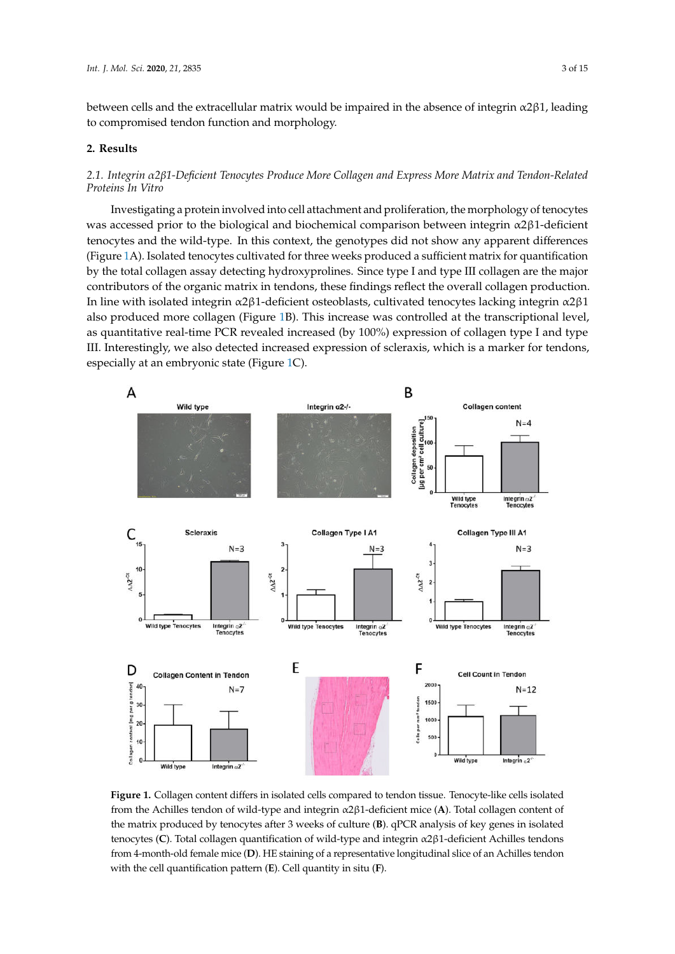between cells and the extracellular matrix would be impaired in the absence of integrin  $\alpha$ 2 $\beta$ 1, leading to compromised tendon function and morphology.<br>

#### **2. Results**

# *2.1. Integrin* α*2*β*1-Deficient Tenocytes Produce More Collagen and Express More Matrix and Tendon-Related α β Proteins In Vitro*

Investigating a protein involved into cell attachment and proliferation, the morphology of tenocytes was accessed prior to the biological and biochemical comparison between integrin α2β1-deficient tenocytes and the wild-type. In this context, the genotypes did not show any apparent differences (Figure 1A). Isolated tenocytes cultivated for three weeks produced a sufficient matrix for quantification by the total collagen assay detecting hydroxyprolines. Since type I and type III collagen are the major contributors of the organic matrix in tendons, these findings reflect the overall collagen production. In line with isolated integrin α2β1-deficient osteoblasts, cultivated tenocytes lacking integrin α2β1 also produced more collagen (Figure 1B). This increase was controlled at the transcriptional level, as quantitative real-time PCR revealed increased (by 100%) expression of collagen type I and type III. Interestingly, we also detected increased expression of scleraxis, which is a marker for tendons, especially at an embryonic state (Figure 1C).



the matrix produced by tenocytes after 3 weeks of culture (**B**). qPCR analysis of key genes in isolated **Figure 1.** Collagen content differs in isolated cells compared to tendon tissue. Tenocyte-like cells isolated from the Achilles tendon of wild-type and integrin α2β1-deficient mice (**A**). Total collagen content of tenocytes (**C**). Total collagen quantification of wild-type and integrin α2β1-deficient Achilles tendons from 4-month-old female mice (**D**). HE staining of a representative longitudinal slice of an Achilles tendon with the cell quantification pattern (**E**). Cell quantity in situ (**F**).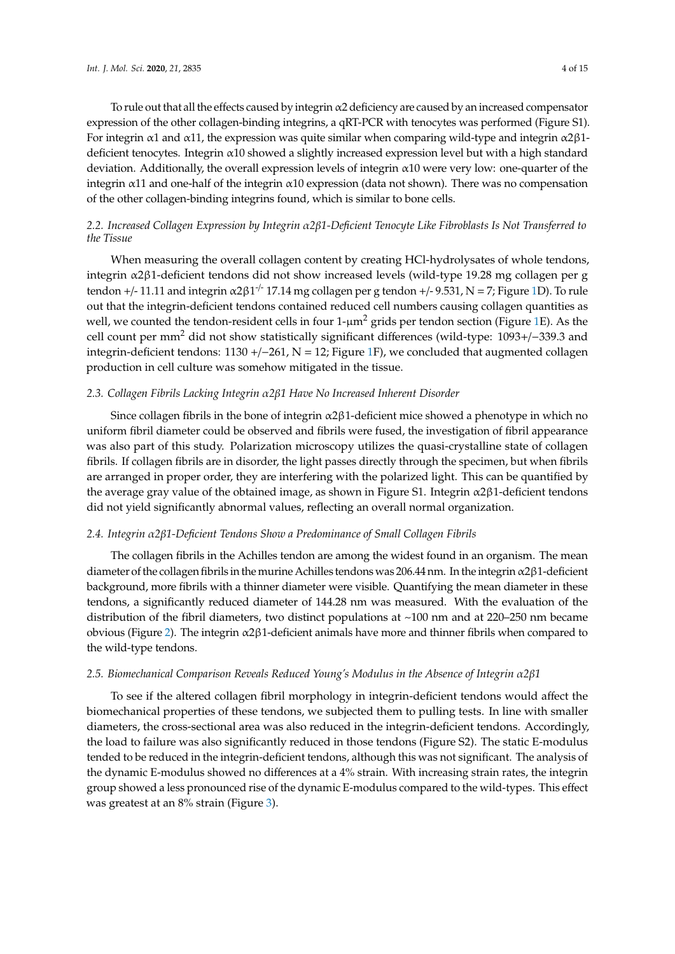To rule out that all the effects caused by integrin  $\alpha$ 2 deficiency are caused by an increased compensator expression of the other collagen-binding integrins, a qRT-PCR with tenocytes was performed (Figure S1). For integrin  $\alpha$ 1 and  $\alpha$ 11, the expression was quite similar when comparing wild-type and integrin  $\alpha$ 2 $\beta$ 1deficient tenocytes. Integrin α10 showed a slightly increased expression level but with a high standard deviation. Additionally, the overall expression levels of integrin  $\alpha$ 10 were very low: one-quarter of the integrin  $\alpha$ 11 and one-half of the integrin  $\alpha$ 10 expression (data not shown). There was no compensation of the other collagen-binding integrins found, which is similar to bone cells.

# *2.2. Increased Collagen Expression by Integrin* α*2*β*1-Deficient Tenocyte Like Fibroblasts Is Not Transferred to the Tissue*

When measuring the overall collagen content by creating HCl-hydrolysates of whole tendons, integrin α2β1-deficient tendons did not show increased levels (wild-type 19.28 mg collagen per g tendon +/- 11.11 and integrin α2β1<sup>-/-</sup> 17.14 mg collagen per g tendon +/- 9.531, N = 7; Figure 1D). To rule out that the integrin-deficient tendons contained reduced cell numbers causing collagen quantities as well, we counted the tendon-resident cells in four  $1-\mu m^2$  grids per tendon section (Figure 1E). As the cell count per mm<sup>2</sup> did not show statistically significant differences (wild-type: 1093+/−339.3 and integrin-deficient tendons: 1130 +/−261, N = 12; Figure 1F), we concluded that augmented collagen production in cell culture was somehow mitigated in the tissue.

## *2.3. Collagen Fibrils Lacking Integrin* α*2*β*1 Have No Increased Inherent Disorder*

Since collagen fibrils in the bone of integrin  $\alpha$ 2 $\beta$ 1-deficient mice showed a phenotype in which no uniform fibril diameter could be observed and fibrils were fused, the investigation of fibril appearance was also part of this study. Polarization microscopy utilizes the quasi-crystalline state of collagen fibrils. If collagen fibrils are in disorder, the light passes directly through the specimen, but when fibrils are arranged in proper order, they are interfering with the polarized light. This can be quantified by the average gray value of the obtained image, as shown in Figure S1. Integrin  $\alpha$ 2 $\beta$ 1-deficient tendons did not yield significantly abnormal values, reflecting an overall normal organization.

## *2.4. Integrin* α*2*β*1-Deficient Tendons Show a Predominance of Small Collagen Fibrils*

The collagen fibrils in the Achilles tendon are among the widest found in an organism. The mean diameter of the collagen fibrils in the murine Achilles tendons was 206.44 nm. In the integrin $\alpha$ 2 $\beta$ 1-deficient background, more fibrils with a thinner diameter were visible. Quantifying the mean diameter in these tendons, a significantly reduced diameter of 144.28 nm was measured. With the evaluation of the distribution of the fibril diameters, two distinct populations at ~100 nm and at 220–250 nm became obvious (Figure 2). The integrin α2β1-deficient animals have more and thinner fibrils when compared to the wild-type tendons.

#### *2.5. Biomechanical Comparison Reveals Reduced Young's Modulus in the Absence of Integrin* α*2*β*1*

To see if the altered collagen fibril morphology in integrin-deficient tendons would affect the biomechanical properties of these tendons, we subjected them to pulling tests. In line with smaller diameters, the cross-sectional area was also reduced in the integrin-deficient tendons. Accordingly, the load to failure was also significantly reduced in those tendons (Figure S2). The static E-modulus tended to be reduced in the integrin-deficient tendons, although this was not significant. The analysis of the dynamic E-modulus showed no differences at a 4% strain. With increasing strain rates, the integrin group showed a less pronounced rise of the dynamic E-modulus compared to the wild-types. This effect was greatest at an 8% strain (Figure 3).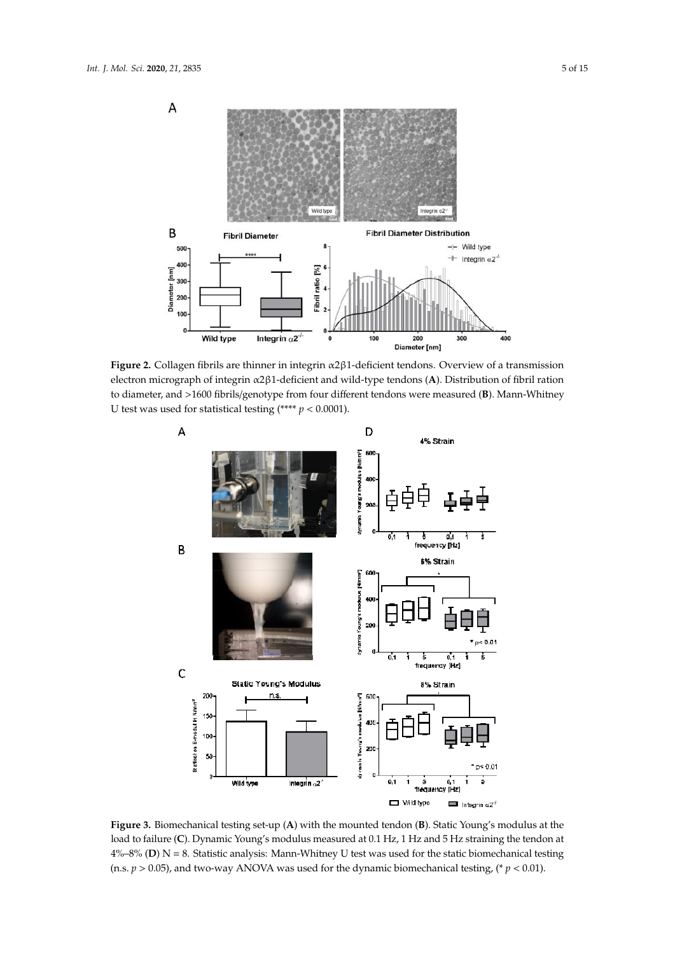

α β electron micrograph of integrin α2β1-deficient and wild-type tendons (**A**). Distribution of fibril ration to diameter, and >1600 fibrils/genotype from four different tendons were measured (**B**). Mann-Whitney **Figure 2.** Collagen fibrils are thinner in integrin α2β1-deficient tendons. Overview of a transmission U test was used for statistical testing (\*\*\*\*  $p < 0.0001$ ).



**Figure 3.** Biomechanical testing set-up (**A**) with the mounted tendon (**B**). Static Young's modulus at the load to failure (**C**). Dynamic Young's modulus measured at 0.1 Hz, 1 Hz and 5 Hz straining the tendon at 4%–8% (**D**) N = 8. Statistic analysis: Mann-Whitney U test was used for the static biomechanical testing (n.s.  $p > 0.05$ ), and two-way ANOVA was used for the dynamic biomechanical testing, (\*  $p < 0.01$ ).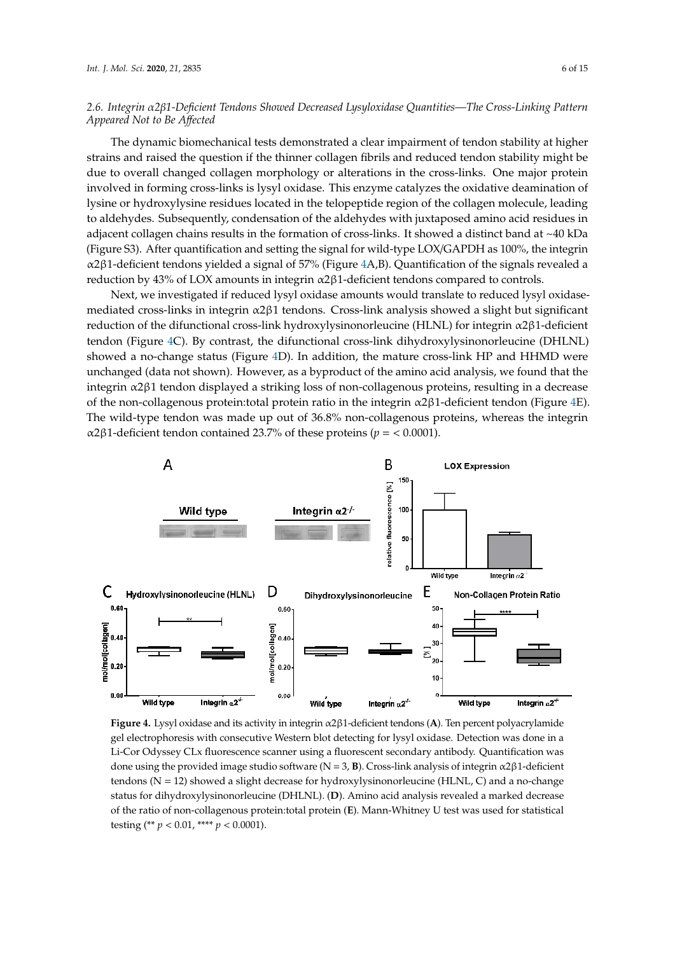# *2.6. Integrin* α*2*β*1-Deficient Tendons Showed Decreased Lysyloxidase Quantities—The Cross-Linking Pattern Appeared Not to Be A*ff*ected*

The dynamic biomechanical tests demonstrated a clear impairment of tendon stability at higher strains and raised the question if the thinner collagen fibrils and reduced tendon stability might be due to overall changed collagen morphology or alterations in the cross-links. One major protein involved in forming cross-links is lysyl oxidase. This enzyme catalyzes the oxidative deamination of lysine or hydroxylysine residues located in the telopeptide region of the collagen molecule, leading to aldehydes. Subsequently, condensation of the aldehydes with juxtaposed amino acid residues in adjacent collagen chains results in the formation of cross-links. It showed a distinct band at ~40 kDa (Figure S3). After quantification and setting the signal for wild-type LOX/GAPDH as 100%, the integrin α2β1-deficient tendons yielded a signal of 57% (Figure 4A,B). Quantification of the signals revealed a reduction by 43% of LOX amounts in integrin α2β1-deficient tendons compared to controls.

Next, we investigated if reduced lysyl oxidase amounts would translate to reduced lysyl oxidasemediated cross-links in integrin  $\alpha$ 2 $\beta$ 1 tendons. Cross-link analysis showed a slight but significant reduction of the difunctional cross-link hydroxylysinonorleucine (HLNL) for integrin α2β1-deficient tendon (Figure 4C). By contrast, the difunctional cross-link dihydroxylysinonorleucine (DHLNL) showed a no-change status (Figure 4D). In addition, the mature cross-link HP and HHMD were unchanged (data not shown). However, as a byproduct of the amino acid analysis, we found that the integrin α2β1 tendon displayed a striking loss of non-collagenous proteins, resulting in a decrease of the non-collagenous protein: total protein ratio in the integrin  $\alpha$ 2 $\beta$ 1-deficient tendon (Figure 4E). The wild-type tendon was made up out of 36.8% non-collagenous proteins, whereas the integrin α2β1-deficient tendon contained 23.7% of these proteins ( $p = < 0.0001$ ). α β



Li-Cor Odyssey CLx fluorescence scanner using a fluorescent secondary antibody. Quantification was of the ratio of non-collagenous protein:total protein (**E**). Mann-Whitney U test was used for statistical **Figure 4.** Lysyl oxidase and its activity in integrin α2β1-deficient tendons (**A**). Ten percent polyacrylamide gel electrophoresis with consecutive Western blot detecting for lysyl oxidase. Detection was done in a done using the provided image studio software (N = 3, **B**). Cross-link analysis of integrin α2β1-deficient tendons  $(N = 12)$  showed a slight decrease for hydroxylysinonorleucine (HLNL, C) and a no-change status for dihydroxylysinonorleucine (DHLNL). (**D**). Amino acid analysis revealed a marked decrease testing  $(* p < 0.01, *** p < 0.0001).$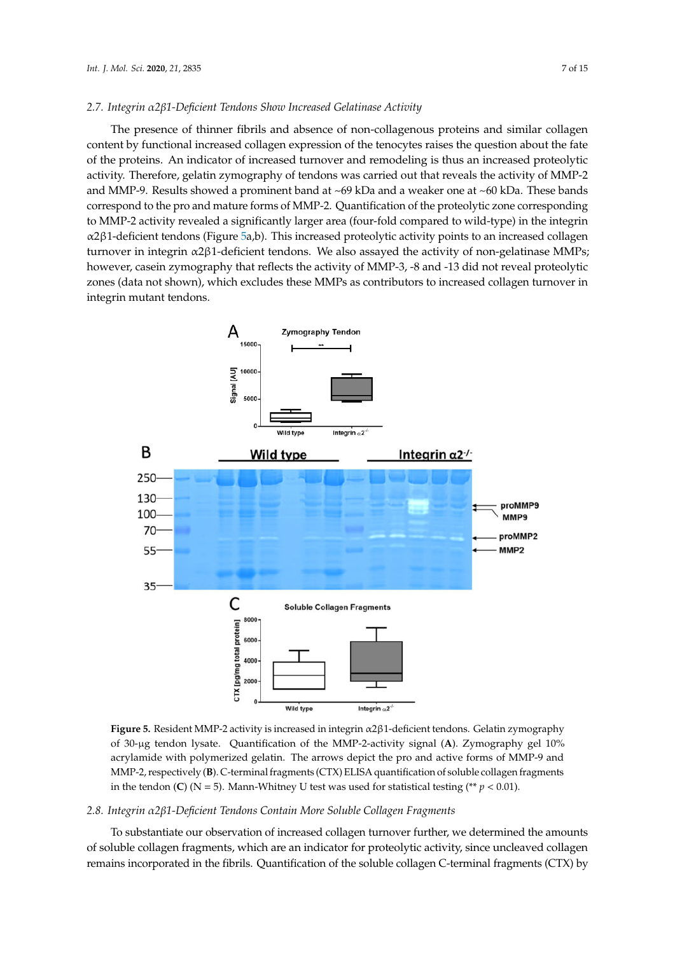#### *2.7. Integrin* α*2*β*1-Deficient Tendons Show Increased Gelatinase Activity*

The presence of thinner fibrils and absence of non-collagenous proteins and similar collagen content by functional increased collagen expression of the tenocytes raises the question about the fate of the proteins. An indicator of increased turnover and remodeling is thus an increased proteolytic activity. Therefore, gelatin zymography of tendons was carried out that reveals the activity of MMP-2 and MMP-9. Results showed a prominent band at ~69 kDa and a weaker one at ~60 kDa. These bands correspond to the pro and mature forms of MMP-2. Quantification of the proteolytic zone corresponding to MMP-2 activity revealed a significantly larger area (four-fold compared to wild-type) in the integrin α2β1-deficient tendons (Figure 5a,b). This increased proteolytic activity points to an increased collagen turnover in integrin α2β1-deficient tendons. We also assayed the activity of non-gelatinase MMPs; however, casein zymography that reflects the activity of MMP-3, -8 and -13 did not reveal proteolytic zones (data not shown), which excludes these MMPs as contributors to increased collagen turnover in integrin mutant tendons.



α β **Figure 5.** Resident MMP-2 activity is increased in integrin α2β1-deficient tendons. Gelatin zymography of 30-µg tendon lysate. Quantification of the MMP-2-activity signal (**A**). Zymography gel 10% acrylamide with polymerized gelatin. The arrows depict the pro and active forms of MMP-9 and MMP-2, respectively (**B**). C-terminal fragments (CTX) ELISA quantification of soluble collagen fragments in the tendon (**C**) ( $N = 5$ ). Mann-Whitney U test was used for statistical testing (\*\*  $p < 0.01$ ).

#### *2.8. Integrin* α*2*β*1-Deficient Tendons Contain More Soluble Collagen Fragments*

To substantiate our observation of increased collagen turnover further, we determined the amounts of soluble collagen fragments, which are an indicator for proteolytic activity, since uncleaved collagen remains incorporated in the fibrils. Quantification of the soluble collagen C-terminal fragments (CTX) by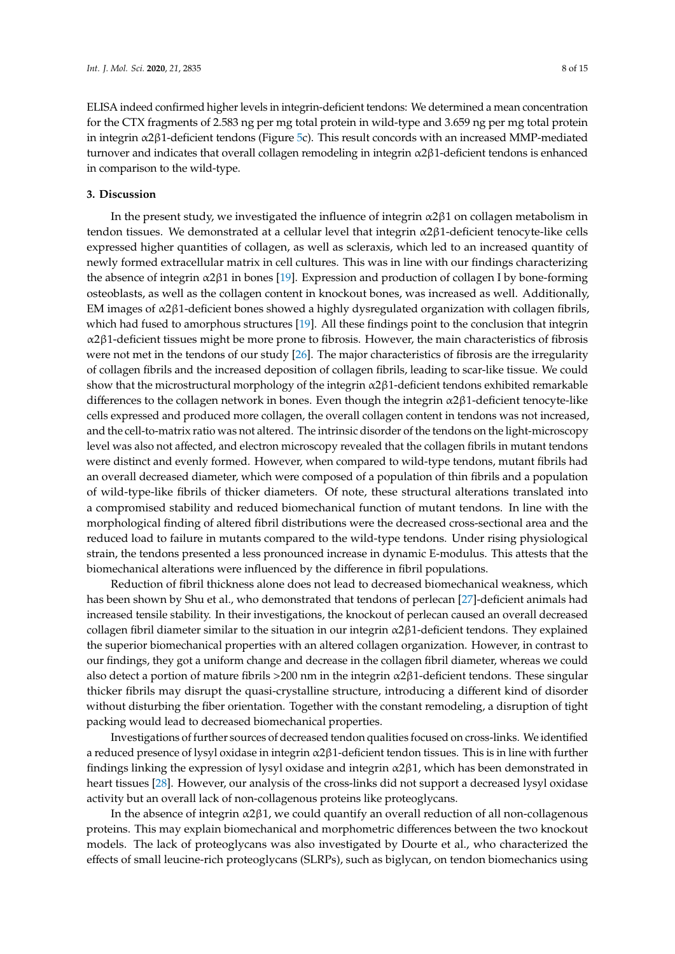ELISA indeed confirmed higher levels in integrin-deficient tendons: We determined a mean concentration for the CTX fragments of 2.583 ng per mg total protein in wild-type and 3.659 ng per mg total protein in integrin α2β1-deficient tendons (Figure 5c). This result concords with an increased MMP-mediated turnover and indicates that overall collagen remodeling in integrin α2β1-deficient tendons is enhanced in comparison to the wild-type.

#### **3. Discussion**

In the present study, we investigated the influence of integrin  $\alpha$ 2 $\beta$ 1 on collagen metabolism in tendon tissues. We demonstrated at a cellular level that integrin α2β1-deficient tenocyte-like cells expressed higher quantities of collagen, as well as scleraxis, which led to an increased quantity of newly formed extracellular matrix in cell cultures. This was in line with our findings characterizing the absence of integrin α2β1 in bones [19]. Expression and production of collagen I by bone-forming osteoblasts, as well as the collagen content in knockout bones, was increased as well. Additionally, EM images of  $\alpha$ 2 $\beta$ 1-deficient bones showed a highly dysregulated organization with collagen fibrils, which had fused to amorphous structures [19]. All these findings point to the conclusion that integrin α2β1-deficient tissues might be more prone to fibrosis. However, the main characteristics of fibrosis were not met in the tendons of our study [26]. The major characteristics of fibrosis are the irregularity of collagen fibrils and the increased deposition of collagen fibrils, leading to scar-like tissue. We could show that the microstructural morphology of the integrin  $\alpha$ 2 $\beta$ 1-deficient tendons exhibited remarkable differences to the collagen network in bones. Even though the integrin  $\alpha$ 2 $\beta$ 1-deficient tenocyte-like cells expressed and produced more collagen, the overall collagen content in tendons was not increased, and the cell-to-matrix ratio was not altered. The intrinsic disorder of the tendons on the light-microscopy level was also not affected, and electron microscopy revealed that the collagen fibrils in mutant tendons were distinct and evenly formed. However, when compared to wild-type tendons, mutant fibrils had an overall decreased diameter, which were composed of a population of thin fibrils and a population of wild-type-like fibrils of thicker diameters. Of note, these structural alterations translated into a compromised stability and reduced biomechanical function of mutant tendons. In line with the morphological finding of altered fibril distributions were the decreased cross-sectional area and the reduced load to failure in mutants compared to the wild-type tendons. Under rising physiological strain, the tendons presented a less pronounced increase in dynamic E-modulus. This attests that the biomechanical alterations were influenced by the difference in fibril populations.

Reduction of fibril thickness alone does not lead to decreased biomechanical weakness, which has been shown by Shu et al., who demonstrated that tendons of perlecan [27]-deficient animals had increased tensile stability. In their investigations, the knockout of perlecan caused an overall decreased collagen fibril diameter similar to the situation in our integrin  $α2β1$ -deficient tendons. They explained the superior biomechanical properties with an altered collagen organization. However, in contrast to our findings, they got a uniform change and decrease in the collagen fibril diameter, whereas we could also detect a portion of mature fibrils >200 nm in the integrin  $\alpha$ 2 $\beta$ 1-deficient tendons. These singular thicker fibrils may disrupt the quasi-crystalline structure, introducing a different kind of disorder without disturbing the fiber orientation. Together with the constant remodeling, a disruption of tight packing would lead to decreased biomechanical properties.

Investigations of further sources of decreased tendon qualities focused on cross-links. We identified a reduced presence of lysyl oxidase in integrin α2β1-deficient tendon tissues. This is in line with further findings linking the expression of lysyl oxidase and integrin α2β1, which has been demonstrated in heart tissues [28]. However, our analysis of the cross-links did not support a decreased lysyl oxidase activity but an overall lack of non-collagenous proteins like proteoglycans.

In the absence of integrin α2β1, we could quantify an overall reduction of all non-collagenous proteins. This may explain biomechanical and morphometric differences between the two knockout models. The lack of proteoglycans was also investigated by Dourte et al., who characterized the effects of small leucine-rich proteoglycans (SLRPs), such as biglycan, on tendon biomechanics using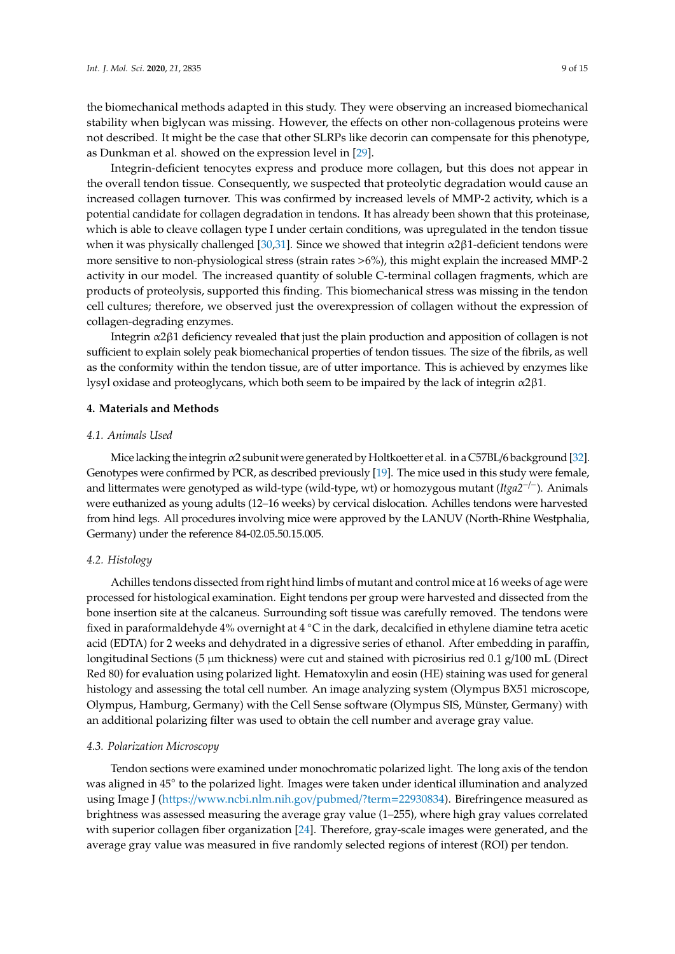the biomechanical methods adapted in this study. They were observing an increased biomechanical stability when biglycan was missing. However, the effects on other non-collagenous proteins were not described. It might be the case that other SLRPs like decorin can compensate for this phenotype, as Dunkman et al. showed on the expression level in [29].

Integrin-deficient tenocytes express and produce more collagen, but this does not appear in the overall tendon tissue. Consequently, we suspected that proteolytic degradation would cause an increased collagen turnover. This was confirmed by increased levels of MMP-2 activity, which is a potential candidate for collagen degradation in tendons. It has already been shown that this proteinase, which is able to cleave collagen type I under certain conditions, was upregulated in the tendon tissue when it was physically challenged [30,31]. Since we showed that integrin  $\alpha$ 2 $\beta$ 1-deficient tendons were more sensitive to non-physiological stress (strain rates >6%), this might explain the increased MMP-2 activity in our model. The increased quantity of soluble C-terminal collagen fragments, which are products of proteolysis, supported this finding. This biomechanical stress was missing in the tendon cell cultures; therefore, we observed just the overexpression of collagen without the expression of collagen-degrading enzymes.

Integrin α2β1 deficiency revealed that just the plain production and apposition of collagen is not sufficient to explain solely peak biomechanical properties of tendon tissues. The size of the fibrils, as well as the conformity within the tendon tissue, are of utter importance. This is achieved by enzymes like lysyl oxidase and proteoglycans, which both seem to be impaired by the lack of integrin α2β1.

#### **4. Materials and Methods**

#### *4.1. Animals Used*

Mice lacking the integrin  $\alpha$ 2 subunit were generated by Holtkoetter et al. in a C57BL/6 background [32]. Genotypes were confirmed by PCR, as described previously [19]. The mice used in this study were female, and littermates were genotyped as wild-type (wild-type, wt) or homozygous mutant (*Itga2*−/−). Animals were euthanized as young adults (12–16 weeks) by cervical dislocation. Achilles tendons were harvested from hind legs. All procedures involving mice were approved by the LANUV (North-Rhine Westphalia, Germany) under the reference 84-02.05.50.15.005.

## *4.2. Histology*

Achilles tendons dissected from right hind limbs of mutant and control mice at 16 weeks of age were processed for histological examination. Eight tendons per group were harvested and dissected from the bone insertion site at the calcaneus. Surrounding soft tissue was carefully removed. The tendons were fixed in paraformaldehyde 4% overnight at 4 ◦C in the dark, decalcified in ethylene diamine tetra acetic acid (EDTA) for 2 weeks and dehydrated in a digressive series of ethanol. After embedding in paraffin, longitudinal Sections (5  $\mu$ m thickness) were cut and stained with picrosirius red 0.1 g/100 mL (Direct Red 80) for evaluation using polarized light. Hematoxylin and eosin (HE) staining was used for general histology and assessing the total cell number. An image analyzing system (Olympus BX51 microscope, Olympus, Hamburg, Germany) with the Cell Sense software (Olympus SIS, Münster, Germany) with an additional polarizing filter was used to obtain the cell number and average gray value.

## *4.3. Polarization Microscopy*

Tendon sections were examined under monochromatic polarized light. The long axis of the tendon was aligned in 45° to the polarized light. Images were taken under identical illumination and analyzed using Image J (https://www.ncbi.nlm.nih.gov/pubmed/?term=22930834). Birefringence measured as brightness was assessed measuring the average gray value (1–255), where high gray values correlated with superior collagen fiber organization [24]. Therefore, gray-scale images were generated, and the average gray value was measured in five randomly selected regions of interest (ROI) per tendon.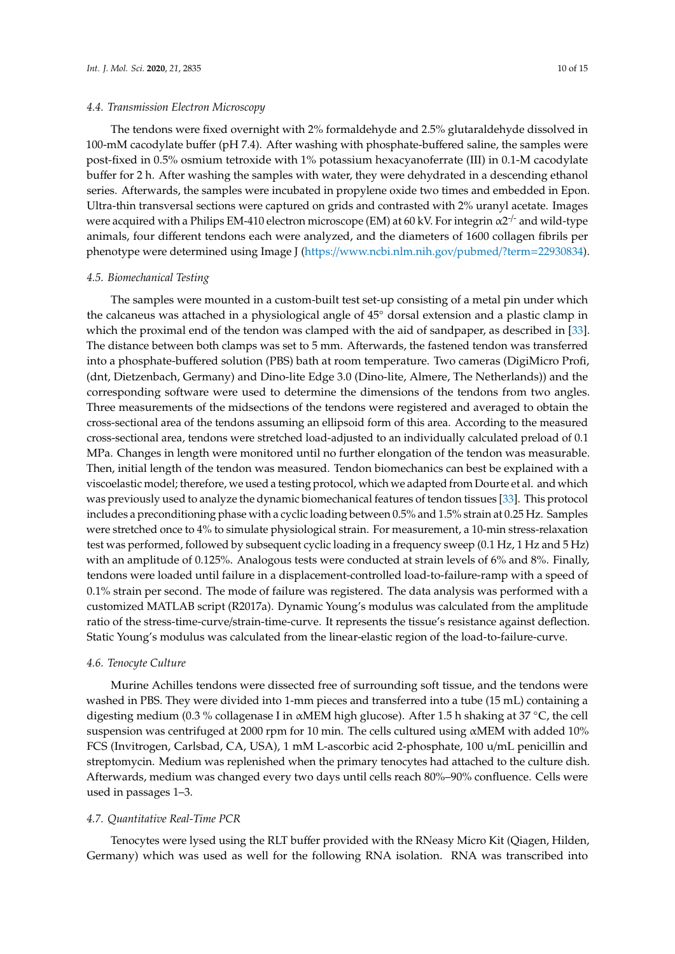#### *4.4. Transmission Electron Microscopy*

The tendons were fixed overnight with 2% formaldehyde and 2.5% glutaraldehyde dissolved in 100-mM cacodylate buffer (pH 7.4). After washing with phosphate-buffered saline, the samples were post-fixed in 0.5% osmium tetroxide with 1% potassium hexacyanoferrate (III) in 0.1-M cacodylate buffer for 2 h. After washing the samples with water, they were dehydrated in a descending ethanol series. Afterwards, the samples were incubated in propylene oxide two times and embedded in Epon. Ultra-thin transversal sections were captured on grids and contrasted with 2% uranyl acetate. Images were acquired with a Philips EM-410 electron microscope (EM) at 60 kV. For integrin  $\alpha 2^{-/-}$  and wild-type animals, four different tendons each were analyzed, and the diameters of 1600 collagen fibrils per phenotype were determined using Image J (https://www.ncbi.nlm.nih.gov/pubmed/?term=22930834).

#### *4.5. Biomechanical Testing*

The samples were mounted in a custom-built test set-up consisting of a metal pin under which the calcaneus was attached in a physiological angle of 45◦ dorsal extension and a plastic clamp in which the proximal end of the tendon was clamped with the aid of sandpaper, as described in [33]. The distance between both clamps was set to 5 mm. Afterwards, the fastened tendon was transferred into a phosphate-buffered solution (PBS) bath at room temperature. Two cameras (DigiMicro Profi, (dnt, Dietzenbach, Germany) and Dino-lite Edge 3.0 (Dino-lite, Almere, The Netherlands)) and the corresponding software were used to determine the dimensions of the tendons from two angles. Three measurements of the midsections of the tendons were registered and averaged to obtain the cross-sectional area of the tendons assuming an ellipsoid form of this area. According to the measured cross-sectional area, tendons were stretched load-adjusted to an individually calculated preload of 0.1 MPa. Changes in length were monitored until no further elongation of the tendon was measurable. Then, initial length of the tendon was measured. Tendon biomechanics can best be explained with a viscoelastic model; therefore, we used a testing protocol, which we adapted from Dourte et al. and which was previously used to analyze the dynamic biomechanical features of tendon tissues [33]. This protocol includes a preconditioning phase with a cyclic loading between 0.5% and 1.5% strain at 0.25 Hz. Samples were stretched once to 4% to simulate physiological strain. For measurement, a 10-min stress-relaxation test was performed, followed by subsequent cyclic loading in a frequency sweep (0.1 Hz, 1 Hz and 5 Hz) with an amplitude of 0.125%. Analogous tests were conducted at strain levels of 6% and 8%. Finally, tendons were loaded until failure in a displacement-controlled load-to-failure-ramp with a speed of 0.1% strain per second. The mode of failure was registered. The data analysis was performed with a customized MATLAB script (R2017a). Dynamic Young's modulus was calculated from the amplitude ratio of the stress-time-curve/strain-time-curve. It represents the tissue's resistance against deflection. Static Young's modulus was calculated from the linear-elastic region of the load-to-failure-curve.

#### *4.6. Tenocyte Culture*

Murine Achilles tendons were dissected free of surrounding soft tissue, and the tendons were washed in PBS. They were divided into 1-mm pieces and transferred into a tube (15 mL) containing a digesting medium (0.3 % collagenase I in αMEM high glucose). After 1.5 h shaking at 37 ◦C, the cell suspension was centrifuged at 2000 rpm for 10 min. The cells cultured using αMEM with added 10% FCS (Invitrogen, Carlsbad, CA, USA), 1 mM L-ascorbic acid 2-phosphate, 100 u/mL penicillin and streptomycin. Medium was replenished when the primary tenocytes had attached to the culture dish. Afterwards, medium was changed every two days until cells reach 80%–90% confluence. Cells were used in passages 1–3.

#### *4.7. Quantitative Real-Time PCR*

Tenocytes were lysed using the RLT buffer provided with the RNeasy Micro Kit (Qiagen, Hilden, Germany) which was used as well for the following RNA isolation. RNA was transcribed into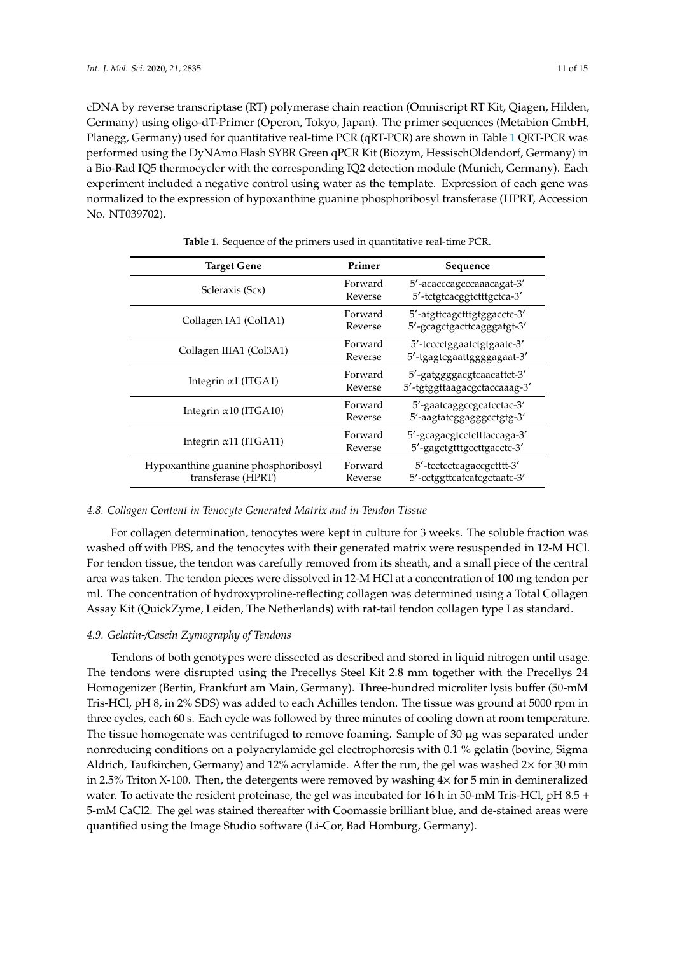cDNA by reverse transcriptase (RT) polymerase chain reaction (Omniscript RT Kit, Qiagen, Hilden, Germany) using oligo-dT-Primer (Operon, Tokyo, Japan). The primer sequences (Metabion GmbH, Planegg, Germany) used for quantitative real-time PCR (qRT-PCR) are shown in Table 1 QRT-PCR was performed using the DyNAmo Flash SYBR Green qPCR Kit (Biozym, HessischOldendorf, Germany) in a Bio-Rad IQ5 thermocycler with the corresponding IQ2 detection module (Munich, Germany). Each experiment included a negative control using water as the template. Expression of each gene was normalized to the expression of hypoxanthine guanine phosphoribosyl transferase (HPRT, Accession No. NT039702).

| <b>Target Gene</b>                                        | Primer             | Sequence                                                   |
|-----------------------------------------------------------|--------------------|------------------------------------------------------------|
| Scleraxis (Scx)                                           | Forward<br>Reverse | 5'-acacccagcccaaacagat-3'<br>5'-tctgtcacggtctttgctca-3'    |
| Collagen IA1 (Col1A1)                                     | Forward<br>Reverse | 5'-atgttcagctttgtggacctc-3'<br>5'-gcagctgacttcagggatgt-3'  |
| Collagen IIIA1 (Col3A1)                                   | Forward<br>Reverse | 5'-tcccctggaatctgtgaatc-3'<br>5'-tgagtcgaattggggagaat-3'   |
| Integrin $\alpha$ 1 (ITGA1)                               | Forward<br>Reverse | 5'-gatggggacgtcaacattct-3'<br>5'-tgtggttaagacgctaccaaag-3' |
| Integrin $\alpha$ 10 (ITGA10)                             | Forward<br>Reverse | 5'-gaatcaggccgcatcctac-3'<br>5'-aagtatcggagggcctgtg-3'     |
| Integrin $\alpha$ 11 (ITGA11)                             | Forward<br>Reverse | 5'-gcagacgtcctctttaccaga-3'<br>5'-gagctgtttgccttgacctc-3'  |
| Hypoxanthine guanine phosphoribosyl<br>transferase (HPRT) | Forward<br>Reverse | 5'-tcctcctcagaccgctttt-3'<br>5'-cctggttcatcatcgctaatc-3'   |

**Table 1.** Sequence of the primers used in quantitative real-time PCR.

#### *4.8. Collagen Content in Tenocyte Generated Matrix and in Tendon Tissue*

For collagen determination, tenocytes were kept in culture for 3 weeks. The soluble fraction was washed off with PBS, and the tenocytes with their generated matrix were resuspended in 12-M HCl. For tendon tissue, the tendon was carefully removed from its sheath, and a small piece of the central area was taken. The tendon pieces were dissolved in 12-M HCl at a concentration of 100 mg tendon per ml. The concentration of hydroxyproline-reflecting collagen was determined using a Total Collagen Assay Kit (QuickZyme, Leiden, The Netherlands) with rat-tail tendon collagen type I as standard.

#### *4.9. Gelatin-*/*Casein Zymography of Tendons*

Tendons of both genotypes were dissected as described and stored in liquid nitrogen until usage. The tendons were disrupted using the Precellys Steel Kit 2.8 mm together with the Precellys 24 Homogenizer (Bertin, Frankfurt am Main, Germany). Three-hundred microliter lysis buffer (50-mM Tris-HCl, pH 8, in 2% SDS) was added to each Achilles tendon. The tissue was ground at 5000 rpm in three cycles, each 60 s. Each cycle was followed by three minutes of cooling down at room temperature. The tissue homogenate was centrifuged to remove foaming. Sample of 30 µg was separated under nonreducing conditions on a polyacrylamide gel electrophoresis with 0.1 % gelatin (bovine, Sigma Aldrich, Taufkirchen, Germany) and 12% acrylamide. After the run, the gel was washed 2× for 30 min in 2.5% Triton X-100. Then, the detergents were removed by washing  $4\times$  for 5 min in demineralized water. To activate the resident proteinase, the gel was incubated for 16 h in 50-mM Tris-HCl, pH 8.5 + 5-mM CaCl2. The gel was stained thereafter with Coomassie brilliant blue, and de-stained areas were quantified using the Image Studio software (Li-Cor, Bad Homburg, Germany).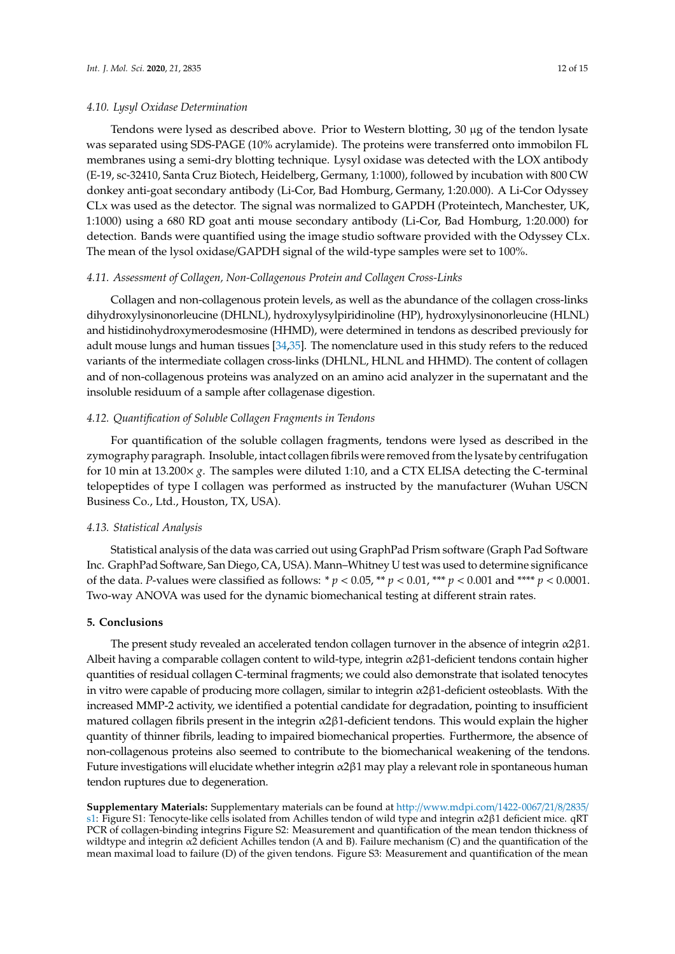#### *4.10. Lysyl Oxidase Determination*

Tendons were lysed as described above. Prior to Western blotting, 30 µg of the tendon lysate was separated using SDS-PAGE (10% acrylamide). The proteins were transferred onto immobilon FL membranes using a semi-dry blotting technique. Lysyl oxidase was detected with the LOX antibody (E-19, sc-32410, Santa Cruz Biotech, Heidelberg, Germany, 1:1000), followed by incubation with 800 CW donkey anti-goat secondary antibody (Li-Cor, Bad Homburg, Germany, 1:20.000). A Li-Cor Odyssey CLx was used as the detector. The signal was normalized to GAPDH (Proteintech, Manchester, UK, 1:1000) using a 680 RD goat anti mouse secondary antibody (Li-Cor, Bad Homburg, 1:20.000) for detection. Bands were quantified using the image studio software provided with the Odyssey CLx. The mean of the lysol oxidase/GAPDH signal of the wild-type samples were set to 100%.

#### *4.11. Assessment of Collagen, Non-Collagenous Protein and Collagen Cross-Links*

Collagen and non-collagenous protein levels, as well as the abundance of the collagen cross-links dihydroxylysinonorleucine (DHLNL), hydroxylysylpiridinoline (HP), hydroxylysinonorleucine (HLNL) and histidinohydroxymerodesmosine (HHMD), were determined in tendons as described previously for adult mouse lungs and human tissues [34,35]. The nomenclature used in this study refers to the reduced variants of the intermediate collagen cross-links (DHLNL, HLNL and HHMD). The content of collagen and of non-collagenous proteins was analyzed on an amino acid analyzer in the supernatant and the insoluble residuum of a sample after collagenase digestion.

## *4.12. Quantification of Soluble Collagen Fragments in Tendons*

For quantification of the soluble collagen fragments, tendons were lysed as described in the zymography paragraph. Insoluble, intact collagen fibrils were removed from the lysate by centrifugation for 10 min at 13.200 $\times g$ . The samples were diluted 1:10, and a CTX ELISA detecting the C-terminal telopeptides of type I collagen was performed as instructed by the manufacturer (Wuhan USCN Business Co., Ltd., Houston, TX, USA).

## *4.13. Statistical Analysis*

Statistical analysis of the data was carried out using GraphPad Prism software (Graph Pad Software Inc. GraphPad Software, San Diego, CA, USA). Mann–Whitney U test was used to determine significance of the data. *P*-values were classified as follows: \*  $p < 0.05$ , \*\*  $p < 0.01$ , \*\*\*  $p < 0.001$  and \*\*\*\*  $p < 0.0001$ . Two-way ANOVA was used for the dynamic biomechanical testing at different strain rates.

## **5. Conclusions**

The present study revealed an accelerated tendon collagen turnover in the absence of integrin  $\alpha$ 2 $\beta$ 1. Albeit having a comparable collagen content to wild-type, integrin α2β1-deficient tendons contain higher quantities of residual collagen C-terminal fragments; we could also demonstrate that isolated tenocytes in vitro were capable of producing more collagen, similar to integrin  $\alpha$ 2 $\beta$ 1-deficient osteoblasts. With the increased MMP-2 activity, we identified a potential candidate for degradation, pointing to insufficient matured collagen fibrils present in the integrin  $\alpha$ 2 $\beta$ 1-deficient tendons. This would explain the higher quantity of thinner fibrils, leading to impaired biomechanical properties. Furthermore, the absence of non-collagenous proteins also seemed to contribute to the biomechanical weakening of the tendons. Future investigations will elucidate whether integrin α2β1 may play a relevant role in spontaneous human tendon ruptures due to degeneration.

**Supplementary Materials:** Supplementary materials can be found at http://www.mdpi.com/1422-0067/21/8/2835/ s1: Figure S1: Tenocyte-like cells isolated from Achilles tendon of wild type and integrin α2β1 deficient mice. qRT PCR of collagen-binding integrins Figure S2: Measurement and quantification of the mean tendon thickness of wildtype and integrin α2 deficient Achilles tendon (A and B). Failure mechanism (C) and the quantification of the mean maximal load to failure (D) of the given tendons. Figure S3: Measurement and quantification of the mean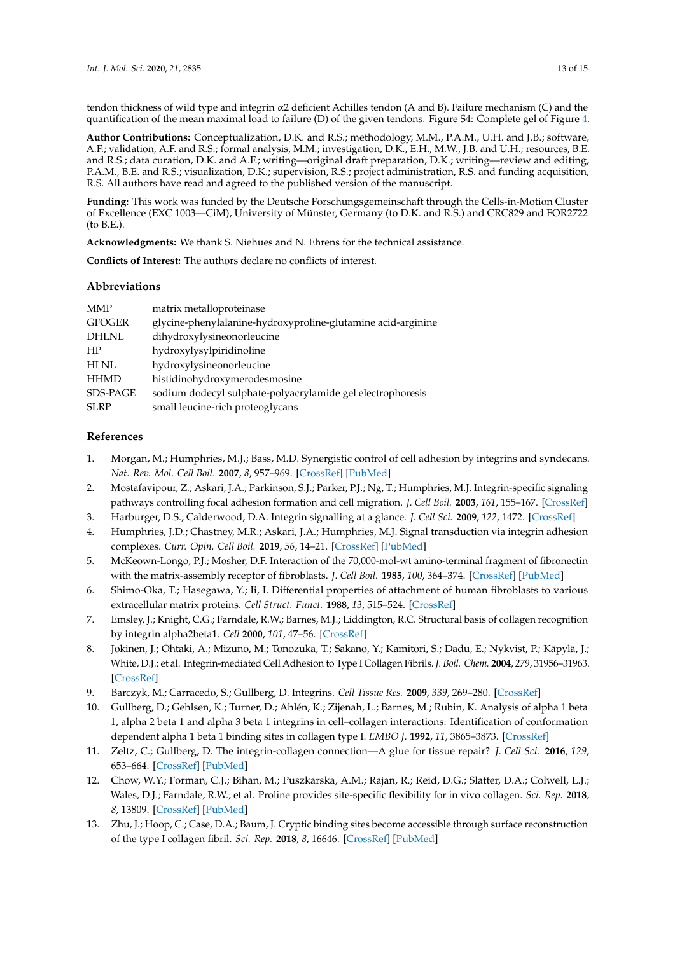tendon thickness of wild type and integrin α2 deficient Achilles tendon (A and B). Failure mechanism (C) and the quantification of the mean maximal load to failure (D) of the given tendons. Figure S4: Complete gel of Figure 4.

**Author Contributions:** Conceptualization, D.K. and R.S.; methodology, M.M., P.A.M., U.H. and J.B.; software, A.F.; validation, A.F. and R.S.; formal analysis, M.M.; investigation, D.K., E.H., M.W., J.B. and U.H.; resources, B.E. and R.S.; data curation, D.K. and A.F.; writing—original draft preparation, D.K.; writing—review and editing, P.A.M., B.E. and R.S.; visualization, D.K.; supervision, R.S.; project administration, R.S. and funding acquisition, R.S. All authors have read and agreed to the published version of the manuscript.

**Funding:** This work was funded by the Deutsche Forschungsgemeinschaft through the Cells-in-Motion Cluster of Excellence (EXC 1003—CiM), University of Münster, Germany (to D.K. and R.S.) and CRC829 and FOR2722 (to B.E.).

**Acknowledgments:** We thank S. Niehues and N. Ehrens for the technical assistance.

**Conflicts of Interest:** The authors declare no conflicts of interest.

## **Abbreviations**

| <b>MMP</b>      | matrix metalloproteinase                                     |
|-----------------|--------------------------------------------------------------|
| <b>GFOGER</b>   | glycine-phenylalanine-hydroxyproline-glutamine acid-arginine |
| <b>DHLNL</b>    | dihydroxylysineonorleucine                                   |
| HP              | hydroxylysylpiridinoline                                     |
| <b>HLNL</b>     | hydroxylysineonorleucine                                     |
| <b>HHMD</b>     | histidinohydroxymerodesmosine                                |
| <b>SDS-PAGE</b> | sodium dodecyl sulphate-polyacrylamide gel electrophoresis   |
| <b>SLRP</b>     | small leucine-rich proteoglycans                             |

## **References**

- 1. Morgan, M.; Humphries, M.J.; Bass, M.D. Synergistic control of cell adhesion by integrins and syndecans. *Nat. Rev. Mol. Cell Boil.* **2007**, *8*, 957–969. [CrossRef] [PubMed]
- 2. Mostafavipour, Z.; Askari, J.A.; Parkinson, S.J.; Parker, P.J.; Ng, T.; Humphries, M.J. Integrin-specific signaling pathways controlling focal adhesion formation and cell migration. *J. Cell Boil.* **2003**, *161*, 155–167. [CrossRef]
- 3. Harburger, D.S.; Calderwood, D.A. Integrin signalling at a glance. *J. Cell Sci.* **2009**, *122*, 1472. [CrossRef]
- 4. Humphries, J.D.; Chastney, M.R.; Askari, J.A.; Humphries, M.J. Signal transduction via integrin adhesion complexes. *Curr. Opin. Cell Boil.* **2019**, *56*, 14–21. [CrossRef] [PubMed]
- 5. McKeown-Longo, P.J.; Mosher, D.F. Interaction of the 70,000-mol-wt amino-terminal fragment of fibronectin with the matrix-assembly receptor of fibroblasts. *J. Cell Boil.* **1985**, *100*, 364–374. [CrossRef] [PubMed]
- 6. Shimo-Oka, T.; Hasegawa, Y.; Ii, I. Differential properties of attachment of human fibroblasts to various extracellular matrix proteins. *Cell Struct. Funct.* **1988**, *13*, 515–524. [CrossRef]
- 7. Emsley, J.; Knight, C.G.; Farndale, R.W.; Barnes, M.J.; Liddington, R.C. Structural basis of collagen recognition by integrin alpha2beta1. *Cell* **2000**, *101*, 47–56. [CrossRef]
- 8. Jokinen, J.; Ohtaki, A.; Mizuno, M.; Tonozuka, T.; Sakano, Y.; Kamitori, S.; Dadu, E.; Nykvist, P.; Käpylä, J.; White, D.J.; et al. Integrin-mediated Cell Adhesion to Type I Collagen Fibrils. *J. Boil. Chem.* **2004**, *279*, 31956–31963. [CrossRef]
- 9. Barczyk, M.; Carracedo, S.; Gullberg, D. Integrins. *Cell Tissue Res.* **2009**, *339*, 269–280. [CrossRef]
- 10. Gullberg, D.; Gehlsen, K.; Turner, D.; Ahlén, K.; Zijenah, L.; Barnes, M.; Rubin, K. Analysis of alpha 1 beta 1, alpha 2 beta 1 and alpha 3 beta 1 integrins in cell–collagen interactions: Identification of conformation dependent alpha 1 beta 1 binding sites in collagen type I. *EMBO J.* **1992**, *11*, 3865–3873. [CrossRef]
- 11. Zeltz, C.; Gullberg, D. The integrin-collagen connection—A glue for tissue repair? *J. Cell Sci.* **2016**, *129*, 653–664. [CrossRef] [PubMed]
- 12. Chow, W.Y.; Forman, C.J.; Bihan, M.; Puszkarska, A.M.; Rajan, R.; Reid, D.G.; Slatter, D.A.; Colwell, L.J.; Wales, D.J.; Farndale, R.W.; et al. Proline provides site-specific flexibility for in vivo collagen. *Sci. Rep.* **2018**, *8*, 13809. [CrossRef] [PubMed]
- 13. Zhu, J.; Hoop, C.; Case, D.A.; Baum, J. Cryptic binding sites become accessible through surface reconstruction of the type I collagen fibril. *Sci. Rep.* **2018**, *8*, 16646. [CrossRef] [PubMed]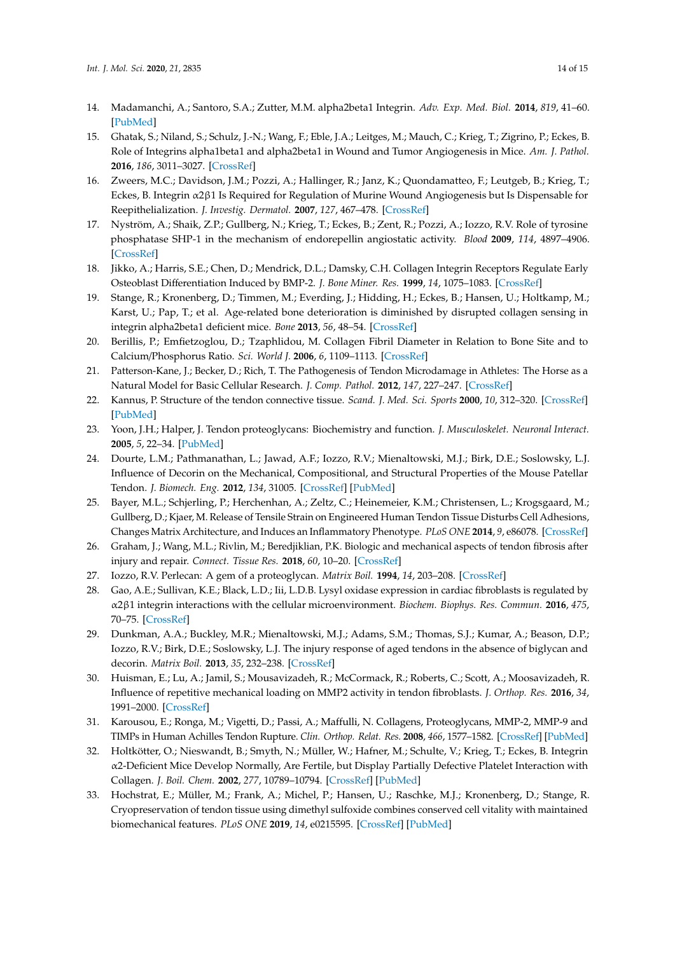- 14. Madamanchi, A.; Santoro, S.A.; Zutter, M.M. alpha2beta1 Integrin. *Adv. Exp. Med. Biol.* **2014**, *819*, 41–60. [PubMed]
- 15. Ghatak, S.; Niland, S.; Schulz, J.-N.; Wang, F.; Eble, J.A.; Leitges, M.; Mauch, C.; Krieg, T.; Zigrino, P.; Eckes, B. Role of Integrins alpha1beta1 and alpha2beta1 in Wound and Tumor Angiogenesis in Mice. *Am. J. Pathol.* **2016**, *186*, 3011–3027. [CrossRef]
- 16. Zweers, M.C.; Davidson, J.M.; Pozzi, A.; Hallinger, R.; Janz, K.; Quondamatteo, F.; Leutgeb, B.; Krieg, T.; Eckes, B. Integrin α2β1 Is Required for Regulation of Murine Wound Angiogenesis but Is Dispensable for Reepithelialization. *J. Investig. Dermatol.* **2007**, *127*, 467–478. [CrossRef]
- 17. Nyström, A.; Shaik, Z.P.; Gullberg, N.; Krieg, T.; Eckes, B.; Zent, R.; Pozzi, A.; Iozzo, R.V. Role of tyrosine phosphatase SHP-1 in the mechanism of endorepellin angiostatic activity. *Blood* **2009**, *114*, 4897–4906. [CrossRef]
- 18. Jikko, A.; Harris, S.E.; Chen, D.; Mendrick, D.L.; Damsky, C.H. Collagen Integrin Receptors Regulate Early Osteoblast Differentiation Induced by BMP-2. *J. Bone Miner. Res.* **1999**, *14*, 1075–1083. [CrossRef]
- 19. Stange, R.; Kronenberg, D.; Timmen, M.; Everding, J.; Hidding, H.; Eckes, B.; Hansen, U.; Holtkamp, M.; Karst, U.; Pap, T.; et al. Age-related bone deterioration is diminished by disrupted collagen sensing in integrin alpha2beta1 deficient mice. *Bone* **2013**, *56*, 48–54. [CrossRef]
- 20. Berillis, P.; Emfietzoglou, D.; Tzaphlidou, M. Collagen Fibril Diameter in Relation to Bone Site and to Calcium/Phosphorus Ratio. *Sci. World J.* **2006**, *6*, 1109–1113. [CrossRef]
- 21. Patterson-Kane, J.; Becker, D.; Rich, T. The Pathogenesis of Tendon Microdamage in Athletes: The Horse as a Natural Model for Basic Cellular Research. *J. Comp. Pathol.* **2012**, *147*, 227–247. [CrossRef]
- 22. Kannus, P. Structure of the tendon connective tissue. *Scand. J. Med. Sci. Sports* **2000**, *10*, 312–320. [CrossRef] [PubMed]
- 23. Yoon, J.H.; Halper, J. Tendon proteoglycans: Biochemistry and function. *J. Musculoskelet. Neuronal Interact.* **2005**, *5*, 22–34. [PubMed]
- 24. Dourte, L.M.; Pathmanathan, L.; Jawad, A.F.; Iozzo, R.V.; Mienaltowski, M.J.; Birk, D.E.; Soslowsky, L.J. Influence of Decorin on the Mechanical, Compositional, and Structural Properties of the Mouse Patellar Tendon. *J. Biomech. Eng.* **2012**, *134*, 31005. [CrossRef] [PubMed]
- 25. Bayer, M.L.; Schjerling, P.; Herchenhan, A.; Zeltz, C.; Heinemeier, K.M.; Christensen, L.; Krogsgaard, M.; Gullberg, D.; Kjaer, M. Release of Tensile Strain on Engineered Human Tendon Tissue Disturbs Cell Adhesions, Changes Matrix Architecture, and Induces an Inflammatory Phenotype. *PLoS ONE* **2014**, *9*, e86078. [CrossRef]
- 26. Graham, J.; Wang, M.L.; Rivlin, M.; Beredjiklian, P.K. Biologic and mechanical aspects of tendon fibrosis after injury and repair. *Connect. Tissue Res.* **2018**, *60*, 10–20. [CrossRef]
- 27. Iozzo, R.V. Perlecan: A gem of a proteoglycan. *Matrix Boil.* **1994**, *14*, 203–208. [CrossRef]
- 28. Gao, A.E.; Sullivan, K.E.; Black, L.D.; Iii, L.D.B. Lysyl oxidase expression in cardiac fibroblasts is regulated by α2β1 integrin interactions with the cellular microenvironment. *Biochem. Biophys. Res. Commun.* **2016**, *475*, 70–75. [CrossRef]
- 29. Dunkman, A.A.; Buckley, M.R.; Mienaltowski, M.J.; Adams, S.M.; Thomas, S.J.; Kumar, A.; Beason, D.P.; Iozzo, R.V.; Birk, D.E.; Soslowsky, L.J. The injury response of aged tendons in the absence of biglycan and decorin. *Matrix Boil.* **2013**, *35*, 232–238. [CrossRef]
- 30. Huisman, E.; Lu, A.; Jamil, S.; Mousavizadeh, R.; McCormack, R.; Roberts, C.; Scott, A.; Moosavizadeh, R. Influence of repetitive mechanical loading on MMP2 activity in tendon fibroblasts. *J. Orthop. Res.* **2016**, *34*, 1991–2000. [CrossRef]
- 31. Karousou, E.; Ronga, M.; Vigetti, D.; Passi, A.; Maffulli, N. Collagens, Proteoglycans, MMP-2, MMP-9 and TIMPs in Human Achilles Tendon Rupture. *Clin. Orthop. Relat. Res.* **2008**, *466*, 1577–1582. [CrossRef] [PubMed]
- 32. Holtkötter, O.; Nieswandt, B.; Smyth, N.; Müller, W.; Hafner, M.; Schulte, V.; Krieg, T.; Eckes, B. Integrin α2-Deficient Mice Develop Normally, Are Fertile, but Display Partially Defective Platelet Interaction with Collagen. *J. Boil. Chem.* **2002**, *277*, 10789–10794. [CrossRef] [PubMed]
- 33. Hochstrat, E.; Müller, M.; Frank, A.; Michel, P.; Hansen, U.; Raschke, M.J.; Kronenberg, D.; Stange, R. Cryopreservation of tendon tissue using dimethyl sulfoxide combines conserved cell vitality with maintained biomechanical features. *PLoS ONE* **2019**, *14*, e0215595. [CrossRef] [PubMed]